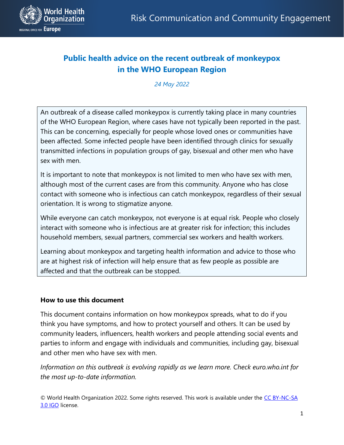

# **Public health advice on the recent outbreak of monkeypox in the WHO European Region**

*24 May 2022* 

An outbreak of a disease called monkeypox is currently taking place in many countries of the WHO European Region, where cases have not typically been reported in the past. This can be concerning, especially for people whose loved ones or communities have been affected. Some infected people have been identified through clinics for sexually transmitted infections in population groups of gay, bisexual and other men who have sex with men.

It is important to note that monkeypox is not limited to men who have sex with men, although most of the current cases are from this community. Anyone who has close contact with someone who is infectious can catch monkeypox, regardless of their sexual orientation. It is wrong to stigmatize anyone.

While everyone can catch monkeypox, not everyone is at equal risk. People who closely interact with someone who is infectious are at greater risk for infection; this includes household members, sexual partners, commercial sex workers and health workers.

Learning about monkeypox and targeting health information and advice to those who are at highest risk of infection will help ensure that as few people as possible are affected and that the outbreak can be stopped.

# **How to use this document**

This document contains information on how monkeypox spreads, what to do if you think you have symptoms, and how to protect yourself and others. It can be used by community leaders, influencers, health workers and people attending social events and parties to inform and engage with individuals and communities, including gay, bisexual and other men who have sex with men.

*Information on this outbreak is evolving rapidly as we learn more. Check euro.who.int for the most up-to-date information.*

© World Health Organization 2022. Some rights reserved. This work is available under the [CC BY-NC-SA](https://creativecommons.org/licenses/by-nc-sa/3.0/igo/)  [3.0 IGO](https://creativecommons.org/licenses/by-nc-sa/3.0/igo/) license.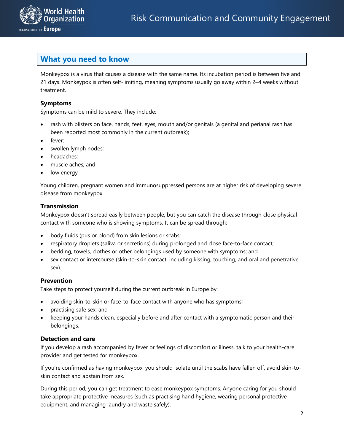

# **What you need to know**

Monkeypox is a virus that causes a disease with the same name. Its incubation period is between five and 21 days. Monkeypox is often self-limiting, meaning symptoms usually go away within 2–4 weeks without treatment.

# **Symptoms**

Symptoms can be mild to severe. They include:

- rash with blisters on face, hands, feet, eyes, mouth and/or genitals (a genital and perianal rash has been reported most commonly in the current outbreak);
- fever;
- swollen lymph nodes;
- headaches;
- muscle aches; and
- low energy

Young children, pregnant women and immunosuppressed persons are at higher risk of developing severe disease from monkeypox.

### **Transmission**

Monkeypox doesn't spread easily between people, but you can catch the disease through close physical contact with someone who is showing symptoms. It can be spread through:

- body fluids (pus or blood) from skin lesions or scabs;
- respiratory droplets (saliva or secretions) during prolonged and close face-to-face contact;
- bedding, towels, clothes or other belongings used by someone with symptoms; and
- sex contact or intercourse (skin-to-skin contact, including kissing, touching, and oral and penetrative sex).

# **Prevention**

Take steps to protect yourself during the current outbreak in Europe by:

- avoiding skin-to-skin or face-to-face contact with anyone who has symptoms;
- practising safe sex; and
- keeping your hands clean, especially before and after contact with a symptomatic person and their belongings.

# **Detection and care**

If you develop a rash accompanied by fever or feelings of discomfort or illness, talk to your health-care provider and get tested for monkeypox.

If you're confirmed as having monkeypox, you should isolate until the scabs have fallen off, avoid skin-toskin contact and abstain from sex.

During this period, you can get treatment to ease monkeypox symptoms. Anyone caring for you should take appropriate protective measures (such as practising hand hygiene, wearing personal protective equipment, and managing laundry and waste safely).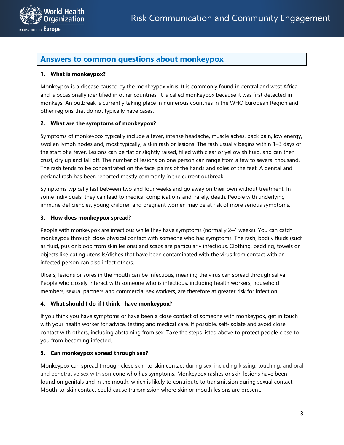



# **Answers to common questions about monkeypox**

### **1. What is monkeypox?**

Monkeypox is a disease caused by the monkeypox virus. It is commonly found in central and west Africa and is occasionally identified in other countries. It is called monkeypox because it was first detected in monkeys. An outbreak is currently taking place in numerous countries in the WHO European Region and other regions that do not typically have cases.

#### **2. What are the symptoms of monkeypox?**

Symptoms of monkeypox typically include a fever, intense headache, muscle aches, back pain, low energy, swollen lymph nodes and, most typically, a skin rash or lesions. The rash usually begins within 1–3 days of the start of a fever. Lesions can be flat or slightly raised, filled with clear or yellowish fluid, and can then crust, dry up and fall off. The number of lesions on one person can range from a few to several thousand. The rash tends to be concentrated on the face, palms of the hands and soles of the feet. A genital and perianal rash has been reported mostly commonly in the current outbreak.

Symptoms typically last between two and four weeks and go away on their own without treatment. In some individuals, they can lead to medical complications and, rarely, death. People with underlying immune deficiencies, young children and pregnant women may be at risk of more serious symptoms.

#### **3. How does monkeypox spread?**

People with monkeypox are infectious while they have symptoms (normally 2–4 weeks). You can catch monkeypox through close physical contact with someone who has symptoms. The rash, bodily fluids (such as fluid, pus or blood from skin lesions) and scabs are particularly infectious. Clothing, bedding, towels or objects like eating utensils/dishes that have been contaminated with the virus from contact with an infected person can also infect others.

Ulcers, lesions or sores in the mouth can be infectious, meaning the virus can spread through saliva. People who closely interact with someone who is infectious, including health workers, household members, sexual partners and commercial sex workers, are therefore at greater risk for infection.

#### **4. What should I do if I think I have monkeypox?**

If you think you have symptoms or have been a close contact of someone with monkeypox, get in touch with your health worker for advice, testing and medical care. If possible, self-isolate and avoid close contact with others, including abstaining from sex. Take the steps listed above to protect people close to you from becoming infected.

#### **5. Can monkeypox spread through sex?**

Monkeypox can spread through close skin-to-skin contact during sex, including kissing, touching, and oral and penetrative sex with someone who has symptoms. Monkeypox rashes or skin lesions have been found on genitals and in the mouth, which is likely to contribute to transmission during sexual contact. Mouth-to-skin contact could cause transmission where skin or mouth lesions are present.